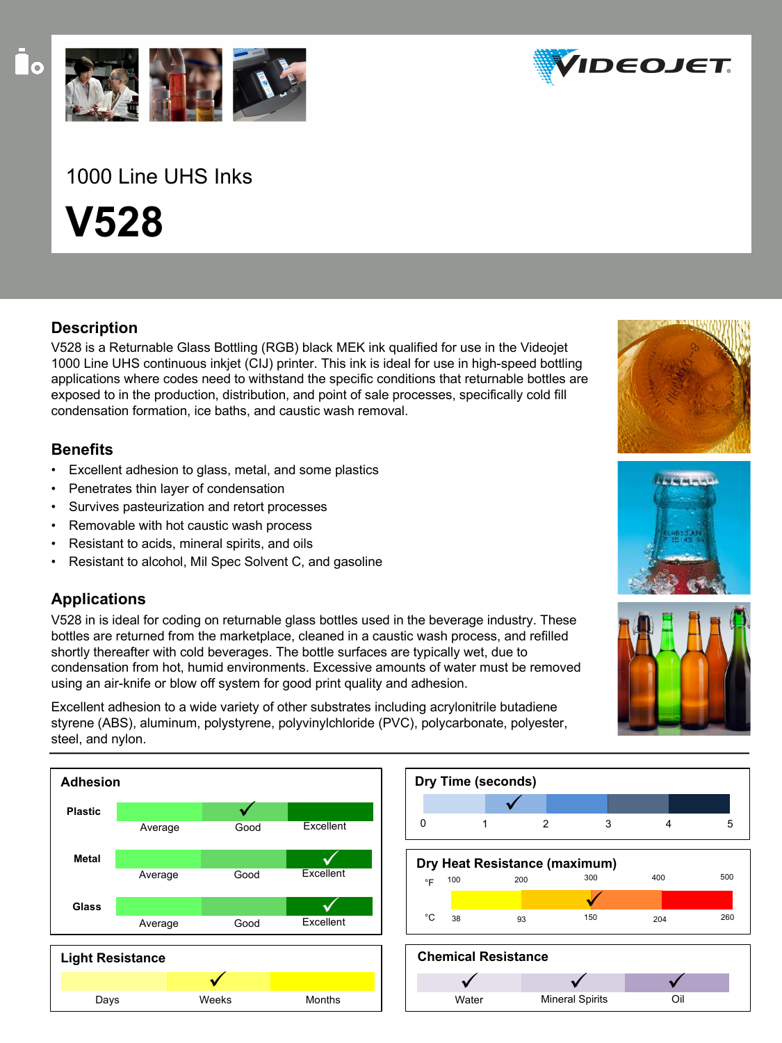

## 1000 Line UHS Inks

**V528**

### **Description**

V528 is a Returnable Glass Bottling (RGB) black MEK ink qualified for use in the Videojet 1000 Line UHS continuous inkjet (CIJ) printer. This ink is ideal for use in high-speed bottling applications where codes need to withstand the specific conditions that returnable bottles are exposed to in the production, distribution, and point of sale processes, specifically cold fill condensation formation, ice baths, and caustic wash removal.

### **Benefits**

- Excellent adhesion to glass, metal, and some plastics
- Penetrates thin layer of condensation
- Survives pasteurization and retort processes
- Removable with hot caustic wash process
- Resistant to acids, mineral spirits, and oils
- Resistant to alcohol, Mil Spec Solvent C, and gasoline

### **Applications**

V528 in is ideal for coding on returnable glass bottles used in the beverage industry. These bottles are returned from the marketplace, cleaned in a caustic wash process, and refilled shortly thereafter with cold beverages. The bottle surfaces are typically wet, due to condensation from hot, humid environments. Excessive amounts of water must be removed using an air-knife or blow off system for good print quality and adhesion.

Excellent adhesion to a wide variety of other substrates including acrylonitrile butadiene styrene (ABS), aluminum, polystyrene, polyvinylchloride (PVC), polycarbonate, polyester, steel, and nylon.





Mineral Spirits Oil

Water